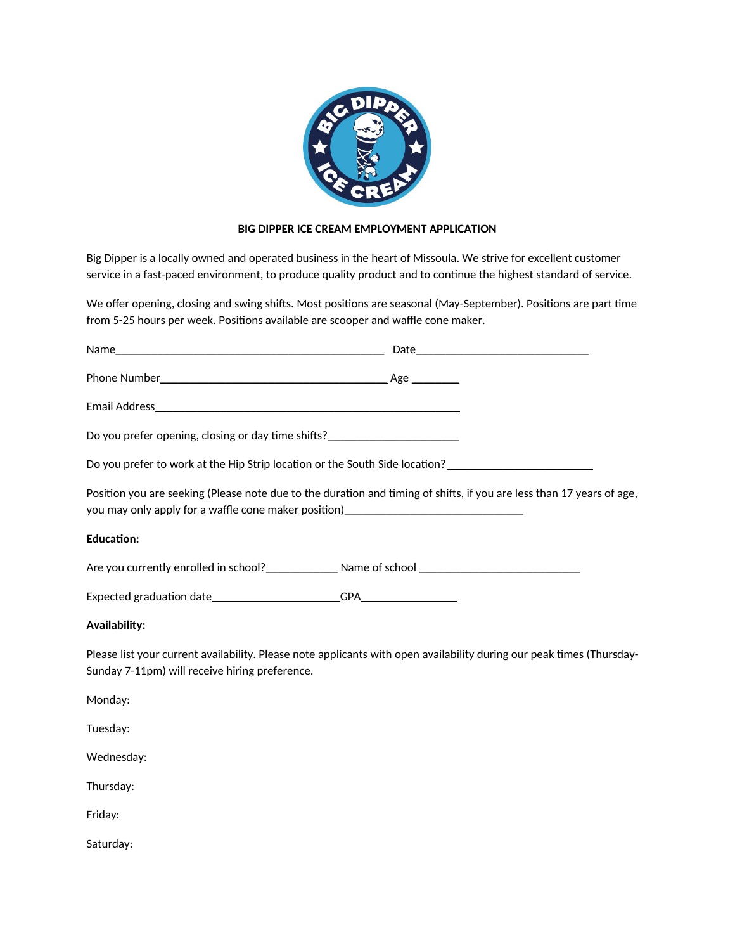

## **BIG DIPPER ICE CREAM EMPLOYMENT APPLICATION**

Big Dipper is a locally owned and operated business in the heart of Missoula. We strive for excellent customer service in a fast-paced environment, to produce quality product and to continue the highest standard of service.

We offer opening, closing and swing shifts. Most positions are seasonal (May-September). Positions are part time from 5-25 hours per week. Positions available are scooper and waffle cone maker.

| Do you prefer opening, closing or day time shifts?<br><u>Do you prefer opening</u> , closing or day time shifts? |                                                                                                                       |
|------------------------------------------------------------------------------------------------------------------|-----------------------------------------------------------------------------------------------------------------------|
|                                                                                                                  | Do you prefer to work at the Hip Strip location or the South Side location?                                           |
| you may only apply for a waffle cone maker position)____________________________                                 | Position you are seeking (Please note due to the duration and timing of shifts, if you are less than 17 years of age, |
| <b>Education:</b>                                                                                                |                                                                                                                       |
|                                                                                                                  |                                                                                                                       |
|                                                                                                                  |                                                                                                                       |
| <b>Availability:</b>                                                                                             |                                                                                                                       |
| Sunday 7-11pm) will receive hiring preference.                                                                   | Please list your current availability. Please note applicants with open availability during our peak times (Thursday- |

Monday:

Tuesday:

Wednesday:

Thursday:

Friday:

Saturday: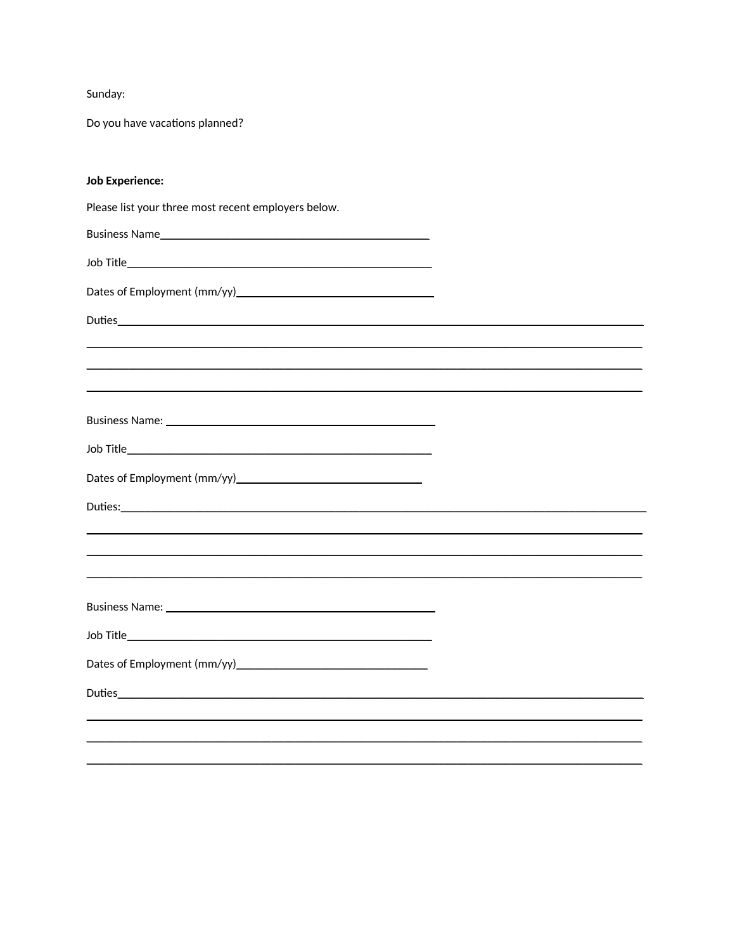Sunday:

Do you have vacations planned?

## **Job Experience:**

Please list your three most recent employers below.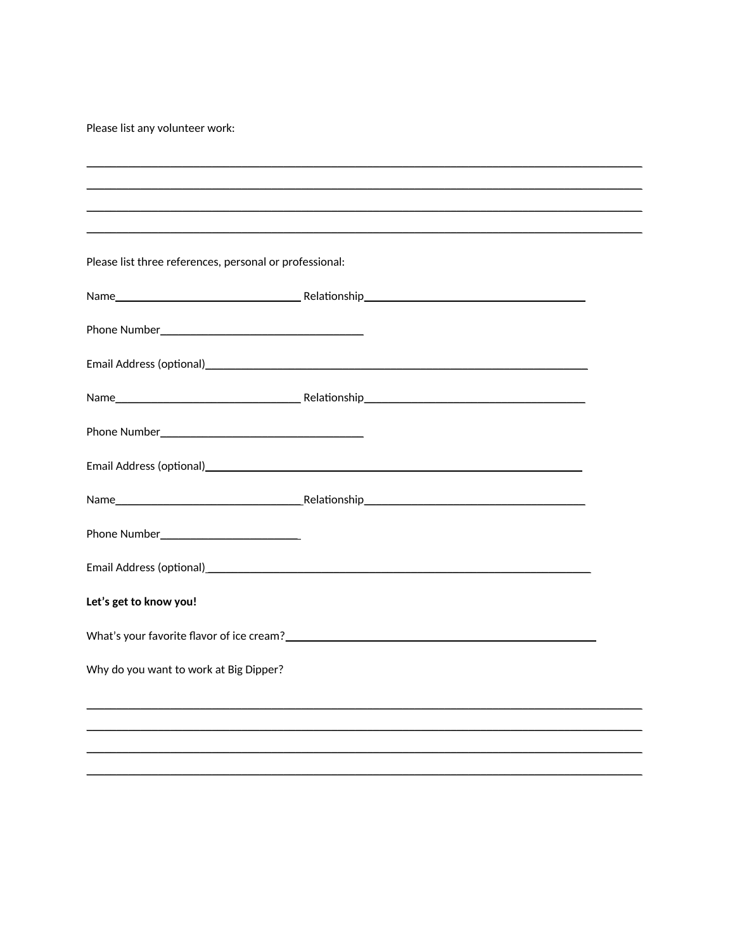Please list any volunteer work:

| Please list three references, personal or professional: |  |
|---------------------------------------------------------|--|
|                                                         |  |
|                                                         |  |
|                                                         |  |
|                                                         |  |
|                                                         |  |
|                                                         |  |
|                                                         |  |
|                                                         |  |
|                                                         |  |
| Let's get to know you!                                  |  |
|                                                         |  |
| Why do you want to work at Big Dipper?                  |  |
|                                                         |  |
|                                                         |  |
|                                                         |  |